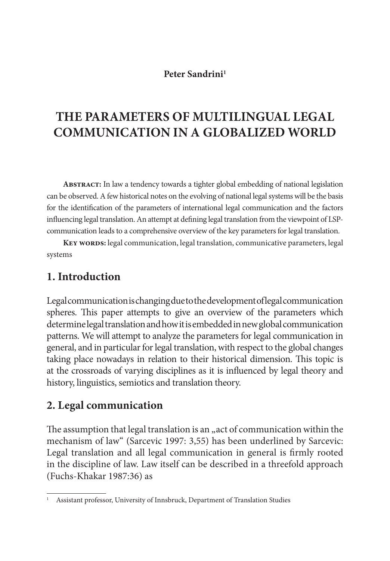#### **Peter Sandrini1**

# **THE PARAMETERS OF MULTILINGUAL LEGAL COMMUNICATION IN A GLOBALIZED WORLD**

**Abstract:** In law a tendency towards a tighter global embedding of national legislation can be observed. A few historical notes on the evolving of national legal systems will be the basis for the identification of the parameters of international legal communication and the factors influencing legal translation. An attempt at defining legal translation from the viewpoint of LSPcommunication leads to a comprehensive overview of the key parameters for legal translation.

**Key words:** legal communication, legal translation, communicative parameters, legal systems

## **1. Introduction**

Legal communication is changing due to the development of legal communication spheres. This paper attempts to give an overview of the parameters which determine legal translation and how it is embedded in new global communication patterns. We will attempt to analyze the parameters for legal communication in general, and in particular for legal translation, with respect to the global changes taking place nowadays in relation to their historical dimension. This topic is at the crossroads of varying disciplines as it is influenced by legal theory and history, linguistics, semiotics and translation theory.

# **2. Legal communication**

The assumption that legal translation is an "act of communication within the mechanism of law" (Sarcevic 1997: 3,55) has been underlined by Sarcevic: Legal translation and all legal communication in general is firmly rooted in the discipline of law. Law itself can be described in a threefold approach (Fuchs-Khakar 1987:36) as

<sup>1</sup> Assistant professor, University of Innsbruck, Department of Translation Studies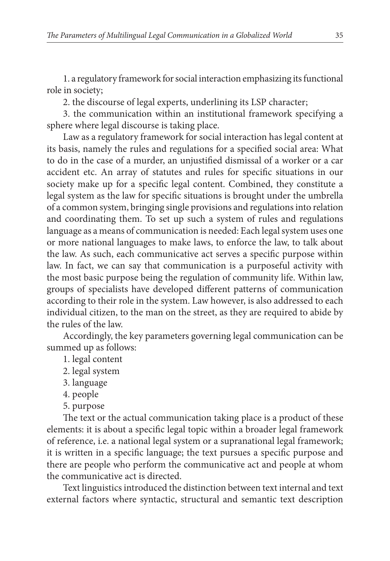1. a regulatory framework for social interaction emphasizing its functional role in society;

2. the discourse of legal experts, underlining its LSP character;

3. the communication within an institutional framework specifying a sphere where legal discourse is taking place.

Law as a regulatory framework for social interaction has legal content at its basis, namely the rules and regulations for a specified social area: What to do in the case of a murder, an unjustified dismissal of a worker or a car accident etc. An array of statutes and rules for specific situations in our society make up for a specific legal content. Combined, they constitute a legal system as the law for specific situations is brought under the umbrella of a common system, bringing single provisions and regulations into relation and coordinating them. To set up such a system of rules and regulations language as a means of communication is needed: Each legal system uses one or more national languages to make laws, to enforce the law, to talk about the law. As such, each communicative act serves a specific purpose within law. In fact, we can say that communication is a purposeful activity with the most basic purpose being the regulation of community life. Within law, groups of specialists have developed different patterns of communication according to their role in the system. Law however, is also addressed to each individual citizen, to the man on the street, as they are required to abide by the rules of the law.

Accordingly, the key parameters governing legal communication can be summed up as follows:

1. legal content

- 2. legal system
- 3. language
- 4. people
- 5. purpose

The text or the actual communication taking place is a product of these elements: it is about a specific legal topic within a broader legal framework of reference, i.e. a national legal system or a supranational legal framework; it is written in a specific language; the text pursues a specific purpose and there are people who perform the communicative act and people at whom the communicative act is directed.

Text linguistics introduced the distinction between text internal and text external factors where syntactic, structural and semantic text description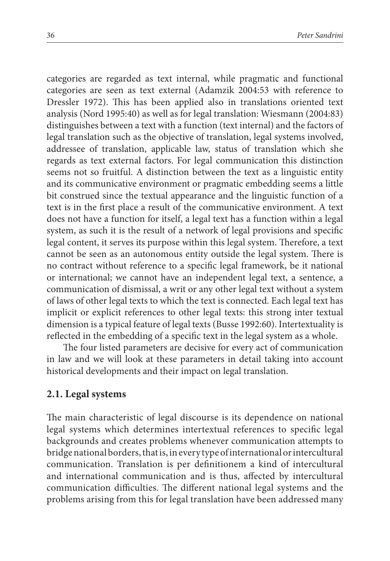categories are regarded as text internal, while pragmatic and functional categories are seen as text external (Adamzik 2004:53 with reference to Dressler 1972). This has been applied also in translations oriented text analysis (Nord 1995:40) as well as for legal translation: Wiesmann (2004:83) distinguishes between a text with a function (text internal) and the factors of legal translation such as the objective of translation, legal systems involved, addressee of translation, applicable law, status of translation which she regards as text external factors. For legal communication this distinction seems not so fruitful. A distinction between the text as a linguistic entity and its communicative environment or pragmatic embedding seems a little bit construed since the textual appearance and the linguistic function of a text is in the first place a result of the communicative environment. A text does not have a function for itself, a legal text has a function within a legal system, as such it is the result of a network of legal provisions and specific legal content, it serves its purpose within this legal system. Therefore, a text cannot be seen as an autonomous entity outside the legal system. There is no contract without reference to a specific legal framework, be it national or international; we cannot have an independent legal text, a sentence, a communication of dismissal, a writ or any other legal text without a system of laws of other legal texts to which the text is connected. Each legal text has implicit or explicit references to other legal texts: this strong inter textual dimension is a typical feature of legal texts (Busse 1992:60). Intertextuality is reflected in the embedding of a specific text in the legal system as a whole.

The four listed parameters are decisive for every act of communication in law and we will look at these parameters in detail taking into account historical developments and their impact on legal translation.

#### **2.1. Legal systems**

The main characteristic of legal discourse is its dependence on national legal systems which determines intertextual references to specific legal backgrounds and creates problems whenever communication attempts to bridge national borders, that is, in every type of international or intercultural communication. Translation is per definitionem a kind of intercultural and international communication and is thus, affected by intercultural communication difficulties. The different national legal systems and the problems arising from this for legal translation have been addressed many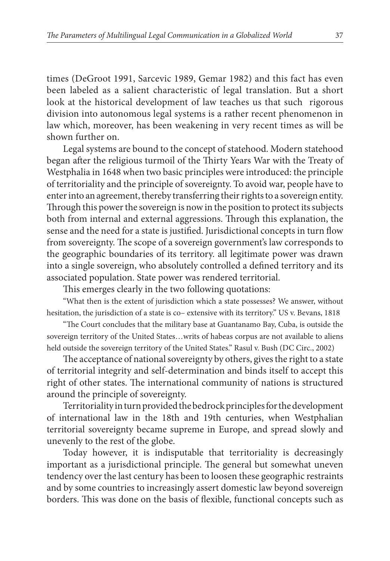times (DeGroot 1991, Sarcevic 1989, Gemar 1982) and this fact has even been labeled as a salient characteristic of legal translation. But a short look at the historical development of law teaches us that such rigorous division into autonomous legal systems is a rather recent phenomenon in law which, moreover, has been weakening in very recent times as will be shown further on.

Legal systems are bound to the concept of statehood. Modern statehood began after the religious turmoil of the Thirty Years War with the Treaty of Westphalia in 1648 when two basic principles were introduced: the principle of territoriality and the principle of sovereignty. To avoid war, people have to enter into an agreement, thereby transferring their rights to a sovereign entity. Through this power the sovereign is now in the position to protect its subjects both from internal and external aggressions. Through this explanation, the sense and the need for a state is justified. Jurisdictional concepts in turn flow from sovereignty. The scope of a sovereign government's law corresponds to the geographic boundaries of its territory. all legitimate power was drawn into a single sovereign, who absolutely controlled a defined territory and its associated population. State power was rendered territorial.

This emerges clearly in the two following quotations:

"What then is the extent of jurisdiction which a state possesses? We answer, without hesitation, the jurisdiction of a state is co– extensive with its territory." US v. Bevans, 1818

"The Court concludes that the military base at Guantanamo Bay, Cuba, is outside the sovereign territory of the United States…writs of habeas corpus are not available to aliens held outside the sovereign territory of the United States." Rasul v. Bush (DC Circ., 2002)

The acceptance of national sovereignty by others, gives the right to a state of territorial integrity and self-determination and binds itself to accept this right of other states. The international community of nations is structured around the principle of sovereignty.

Territoriality in turn provided the bedrock principles for the development of international law in the 18th and 19th centuries, when Westphalian territorial sovereignty became supreme in Europe, and spread slowly and unevenly to the rest of the globe.

Today however, it is indisputable that territoriality is decreasingly important as a jurisdictional principle. The general but somewhat uneven tendency over the last century has been to loosen these geographic restraints and by some countries to increasingly assert domestic law beyond sovereign borders. This was done on the basis of flexible, functional concepts such as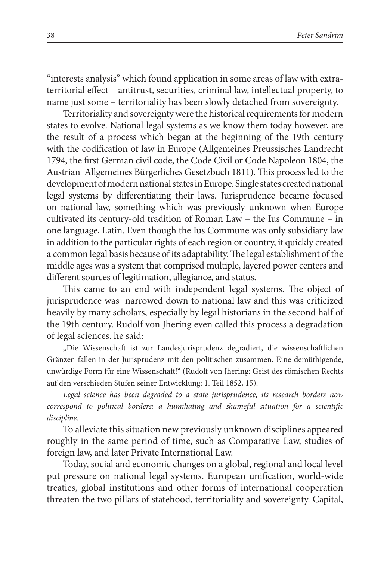"interests analysis" which found application in some areas of law with extraterritorial effect - antitrust, securities, criminal law, intellectual property, to name just some – territoriality has been slowly detached from sovereignty.

Territoriality and sovereignty were the historical requirements for modern states to evolve. National legal systems as we know them today however, are the result of a process which began at the beginning of the 19th century with the codification of law in Europe (Allgemeines Preussisches Landrecht 1794, the first German civil code, the Code Civil or Code Napoleon 1804, the Austrian Allgemeines Bürgerliches Gesetzbuch 1811). This process led to the development of modern national states in Europe. Single states created national legal systems by differentiating their laws. Jurisprudence became focused on national law, something which was previously unknown when Europe cultivated its century-old tradition of Roman Law – the Ius Commune – in one language, Latin. Even though the Ius Commune was only subsidiary law in addition to the particular rights of each region or country, it quickly created a common legal basis because of its adaptability. The legal establishment of the middle ages was a system that comprised multiple, layered power centers and different sources of legitimation, allegiance, and status.

This came to an end with independent legal systems. The object of jurisprudence was narrowed down to national law and this was criticized heavily by many scholars, especially by legal historians in the second half of the 19th century. Rudolf von Jhering even called this process a degradation of legal sciences. he said:

"Die Wissenschaft ist zur Landesjurisprudenz degradiert, die wissenschaftlichen Gränzen fallen in der Jurisprudenz mit den politischen zusammen. Eine demüthigende, unwürdige Form für eine Wissenschaft!" (Rudolf von Jhering: Geist des römischen Rechts auf den verschieden Stufen seiner Entwicklung: 1. Teil 1852, 15).

*Legal science has been degraded to a state jurisprudence, its research borders now correspond to political borders: a humiliating and shameful situation for a scientific discipline.*

To alleviate this situation new previously unknown disciplines appeared roughly in the same period of time, such as Comparative Law, studies of foreign law, and later Private International Law.

Today, social and economic changes on a global, regional and local level put pressure on national legal systems. European unification, world-wide treaties, global institutions and other forms of international cooperation threaten the two pillars of statehood, territoriality and sovereignty. Capital,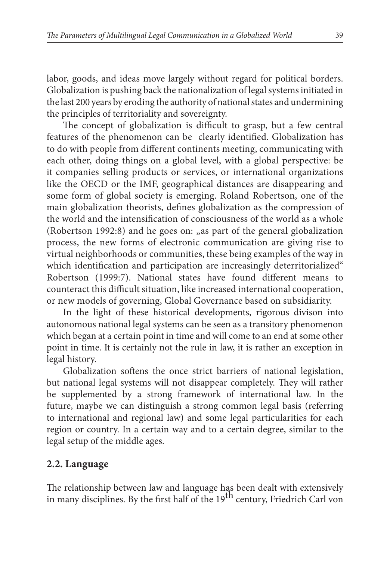labor, goods, and ideas move largely without regard for political borders. Globalization is pushing back the nationalization of legal systems initiated in the last 200 years by eroding the authority of national states and undermining the principles of territoriality and sovereignty.

The concept of globalization is difficult to grasp, but a few central features of the phenomenon can be clearly identified. Globalization has to do with people from different continents meeting, communicating with each other, doing things on a global level, with a global perspective: be it companies selling products or services, or international organizations like the OECD or the IMF, geographical distances are disappearing and some form of global society is emerging. Roland Robertson, one of the main globalization theorists, defines globalization as the compression of the world and the intensification of consciousness of the world as a whole (Robertson 1992:8) and he goes on:  $_{2}$  as part of the general globalization process, the new forms of electronic communication are giving rise to virtual neighborhoods or communities, these being examples of the way in which identification and participation are increasingly deterritorialized" Robertson (1999:7). National states have found different means to counteract this difficult situation, like increased international cooperation, or new models of governing, Global Governance based on subsidiarity.

In the light of these historical developments, rigorous divison into autonomous national legal systems can be seen as a transitory phenomenon which began at a certain point in time and will come to an end at some other point in time. It is certainly not the rule in law, it is rather an exception in legal history.

Globalization softens the once strict barriers of national legislation, but national legal systems will not disappear completely. They will rather be supplemented by a strong framework of international law. In the future, maybe we can distinguish a strong common legal basis (referring to international and regional law) and some legal particularities for each region or country. In a certain way and to a certain degree, similar to the legal setup of the middle ages.

#### **2.2. Language**

The relationship between law and language has been dealt with extensively in many disciplines. By the first half of the 19<sup>th</sup> century, Friedrich Carl von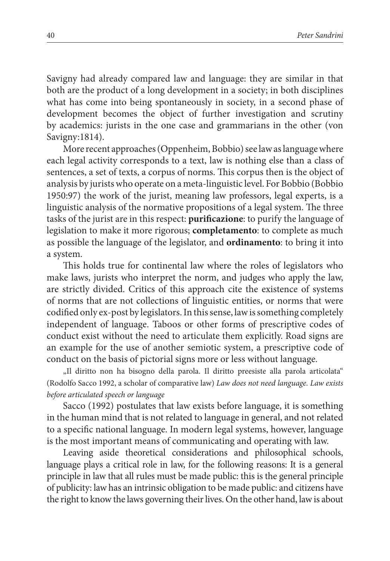Savigny had already compared law and language: they are similar in that both are the product of a long development in a society; in both disciplines what has come into being spontaneously in society, in a second phase of development becomes the object of further investigation and scrutiny by academics: jurists in the one case and grammarians in the other (von Savigny:1814).

More recent approaches (Oppenheim, Bobbio) see law as language where each legal activity corresponds to a text, law is nothing else than a class of sentences, a set of texts, a corpus of norms. This corpus then is the object of analysis by jurists who operate on a meta-linguistic level. For Bobbio (Bobbio 1950:97) the work of the jurist, meaning law professors, legal experts, is a linguistic analysis of the normative propositions of a legal system. The three tasks of the jurist are in this respect: **purificazione**: to purify the language of legislation to make it more rigorous; **completamento**: to complete as much as possible the language of the legislator, and **ordinamento**: to bring it into a system.

This holds true for continental law where the roles of legislators who make laws, jurists who interpret the norm, and judges who apply the law, are strictly divided. Critics of this approach cite the existence of systems of norms that are not collections of linguistic entities, or norms that were codified only ex-post by legislators. In this sense, law is something completely independent of language. Taboos or other forms of prescriptive codes of conduct exist without the need to articulate them explicitly. Road signs are an example for the use of another semiotic system, a prescriptive code of conduct on the basis of pictorial signs more or less without language.

"Il diritto non ha bisogno della parola. Il diritto preesiste alla parola articolata" (Rodolfo Sacco 1992, a scholar of comparative law) *Law does not need language. Law exists before articulated speech or language*

Sacco (1992) postulates that law exists before language, it is something in the human mind that is not related to language in general, and not related to a specific national language. In modern legal systems, however, language is the most important means of communicating and operating with law.

Leaving aside theoretical considerations and philosophical schools, language plays a critical role in law, for the following reasons: It is a general principle in law that all rules must be made public: this is the general principle of publicity: law has an intrinsic obligation to be made public: and citizens have the right to know the laws governing their lives. On the other hand, law is about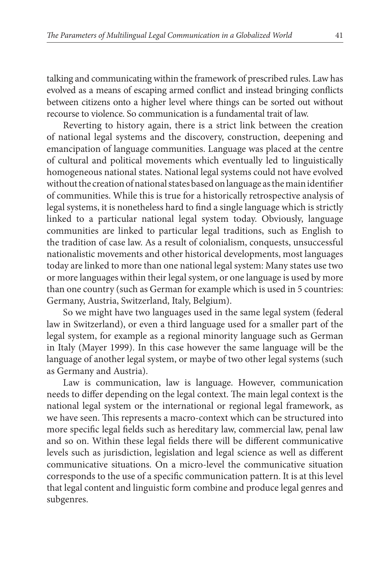talking and communicating within the framework of prescribed rules. Law has evolved as a means of escaping armed conflict and instead bringing conflicts between citizens onto a higher level where things can be sorted out without recourse to violence. So communication is a fundamental trait of law.

Reverting to history again, there is a strict link between the creation of national legal systems and the discovery, construction, deepening and emancipation of language communities. Language was placed at the centre of cultural and political movements which eventually led to linguistically homogeneous national states. National legal systems could not have evolved without the creation of national states based on language as the main identifier of communities. While this is true for a historically retrospective analysis of legal systems, it is nonetheless hard to find a single language which is strictly linked to a particular national legal system today. Obviously, language communities are linked to particular legal traditions, such as English to the tradition of case law. As a result of colonialism, conquests, unsuccessful nationalistic movements and other historical developments, most languages today are linked to more than one national legal system: Many states use two or more languages within their legal system, or one language is used by more than one country (such as German for example which is used in 5 countries: Germany, Austria, Switzerland, Italy, Belgium).

So we might have two languages used in the same legal system (federal law in Switzerland), or even a third language used for a smaller part of the legal system, for example as a regional minority language such as German in Italy (Mayer 1999). In this case however the same language will be the language of another legal system, or maybe of two other legal systems (such as Germany and Austria).

Law is communication, law is language. However, communication needs to differ depending on the legal context. The main legal context is the national legal system or the international or regional legal framework, as we have seen. This represents a macro-context which can be structured into more specific legal fields such as hereditary law, commercial law, penal law and so on. Within these legal fields there will be different communicative levels such as jurisdiction, legislation and legal science as well as different communicative situations. On a micro-level the communicative situation corresponds to the use of a specific communication pattern. It is at this level that legal content and linguistic form combine and produce legal genres and subgenres.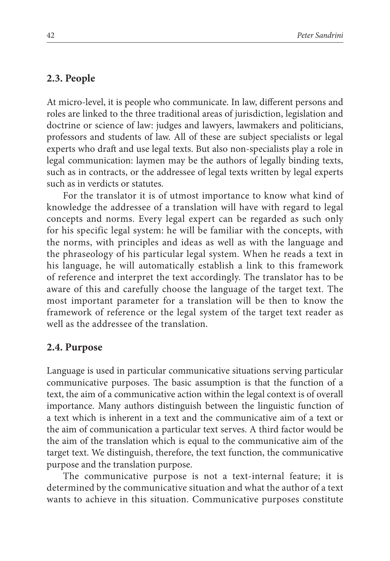## **2.3. People**

At micro-level, it is people who communicate. In law, different persons and roles are linked to the three traditional areas of jurisdiction, legislation and doctrine or science of law: judges and lawyers, lawmakers and politicians, professors and students of law. All of these are subject specialists or legal experts who draft and use legal texts. But also non-specialists play a role in legal communication: laymen may be the authors of legally binding texts, such as in contracts, or the addressee of legal texts written by legal experts such as in verdicts or statutes.

For the translator it is of utmost importance to know what kind of knowledge the addressee of a translation will have with regard to legal concepts and norms. Every legal expert can be regarded as such only for his specific legal system: he will be familiar with the concepts, with the norms, with principles and ideas as well as with the language and the phraseology of his particular legal system. When he reads a text in his language, he will automatically establish a link to this framework of reference and interpret the text accordingly. The translator has to be aware of this and carefully choose the language of the target text. The most important parameter for a translation will be then to know the framework of reference or the legal system of the target text reader as well as the addressee of the translation.

#### **2.4. Purpose**

Language is used in particular communicative situations serving particular communicative purposes. The basic assumption is that the function of a text, the aim of a communicative action within the legal context is of overall importance. Many authors distinguish between the linguistic function of a text which is inherent in a text and the communicative aim of a text or the aim of communication a particular text serves. A third factor would be the aim of the translation which is equal to the communicative aim of the target text. We distinguish, therefore, the text function, the communicative purpose and the translation purpose.

The communicative purpose is not a text-internal feature; it is determined by the communicative situation and what the author of a text wants to achieve in this situation. Communicative purposes constitute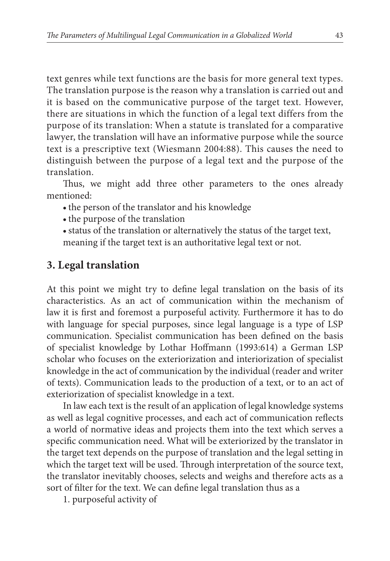text genres while text functions are the basis for more general text types. The translation purpose is the reason why a translation is carried out and it is based on the communicative purpose of the target text. However, there are situations in which the function of a legal text differs from the purpose of its translation: When a statute is translated for a comparative lawyer, the translation will have an informative purpose while the source text is a prescriptive text (Wiesmann 2004:88). This causes the need to distinguish between the purpose of a legal text and the purpose of the translation.

Thus, we might add three other parameters to the ones already mentioned:

- the person of the translator and his knowledge
- the purpose of the translation
- status of the translation or alternatively the status of the target text, meaning if the target text is an authoritative legal text or not.

## **3. Legal translation**

At this point we might try to define legal translation on the basis of its characteristics. As an act of communication within the mechanism of law it is first and foremost a purposeful activity. Furthermore it has to do with language for special purposes, since legal language is a type of LSP communication. Specialist communication has been defined on the basis of specialist knowledge by Lothar Hoffmann (1993:614) a German LSP scholar who focuses on the exteriorization and interiorization of specialist knowledge in the act of communication by the individual (reader and writer of texts). Communication leads to the production of a text, or to an act of exteriorization of specialist knowledge in a text.

In law each text is the result of an application of legal knowledge systems as well as legal cognitive processes, and each act of communication reflects a world of normative ideas and projects them into the text which serves a specific communication need. What will be exteriorized by the translator in the target text depends on the purpose of translation and the legal setting in which the target text will be used. Through interpretation of the source text, the translator inevitably chooses, selects and weighs and therefore acts as a sort of filter for the text. We can define legal translation thus as a

1. purposeful activity of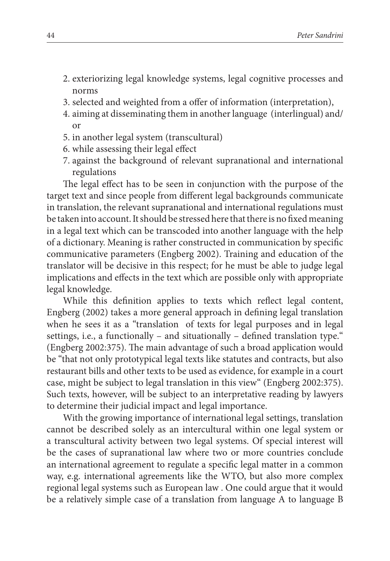- 2. exteriorizing legal knowledge systems, legal cognitive processes and norms
- 3. selected and weighted from a offer of information (interpretation),
- 4. aiming at disseminating them in another language (interlingual) and/ or
- 5. in another legal system (transcultural)
- 6. while assessing their legal effect
- 7. against the background of relevant supranational and international regulations

The legal effect has to be seen in conjunction with the purpose of the target text and since people from different legal backgrounds communicate in translation, the relevant supranational and international regulations must be taken into account. It should be stressed here that there is no fixed meaning in a legal text which can be transcoded into another language with the help of a dictionary. Meaning is rather constructed in communication by specific communicative parameters (Engberg 2002). Training and education of the translator will be decisive in this respect; for he must be able to judge legal implications and effects in the text which are possible only with appropriate legal knowledge.

While this definition applies to texts which reflect legal content, Engberg (2002) takes a more general approach in defining legal translation when he sees it as a "translation of texts for legal purposes and in legal settings, i.e., a functionally – and situationally – defined translation type." (Engberg 2002:375). The main advantage of such a broad application would be "that not only prototypical legal texts like statutes and contracts, but also restaurant bills and other texts to be used as evidence, for example in a court case, might be subject to legal translation in this view" (Engberg 2002:375). Such texts, however, will be subject to an interpretative reading by lawyers to determine their judicial impact and legal importance.

With the growing importance of international legal settings, translation cannot be described solely as an intercultural within one legal system or a transcultural activity between two legal systems. Of special interest will be the cases of supranational law where two or more countries conclude an international agreement to regulate a specific legal matter in a common way, e.g. international agreements like the WTO, but also more complex regional legal systems such as European law . One could argue that it would be a relatively simple case of a translation from language A to language B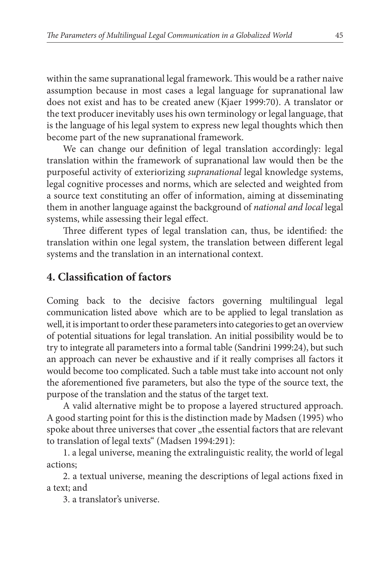within the same supranational legal framework. This would be a rather naive assumption because in most cases a legal language for supranational law does not exist and has to be created anew (Kjaer 1999:70). A translator or the text producer inevitably uses his own terminology or legal language, that is the language of his legal system to express new legal thoughts which then become part of the new supranational framework.

We can change our definition of legal translation accordingly: legal translation within the framework of supranational law would then be the purposeful activity of exteriorizing *supranational* legal knowledge systems, legal cognitive processes and norms, which are selected and weighted from a source text constituting an offer of information, aiming at disseminating them in another language against the background of *national and local* legal systems, while assessing their legal effect.

Three different types of legal translation can, thus, be identified: the translation within one legal system, the translation between different legal systems and the translation in an international context.

## **4. Classification of factors**

Coming back to the decisive factors governing multilingual legal communication listed above which are to be applied to legal translation as well, it is important to order these parameters into categories to get an overview of potential situations for legal translation. An initial possibility would be to try to integrate all parameters into a formal table (Sandrini 1999:24), but such an approach can never be exhaustive and if it really comprises all factors it would become too complicated. Such a table must take into account not only the aforementioned five parameters, but also the type of the source text, the purpose of the translation and the status of the target text.

A valid alternative might be to propose a layered structured approach. A good starting point for this is the distinction made by Madsen (1995) who spoke about three universes that cover "the essential factors that are relevant to translation of legal texts" (Madsen 1994:291):

1. a legal universe, meaning the extralinguistic reality, the world of legal actions;

2. a textual universe, meaning the descriptions of legal actions fixed in a text; and

3. a translator's universe.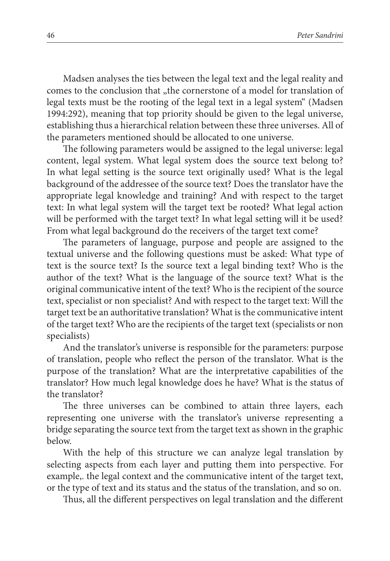Madsen analyses the ties between the legal text and the legal reality and comes to the conclusion that "the cornerstone of a model for translation of legal texts must be the rooting of the legal text in a legal system" (Madsen 1994:292), meaning that top priority should be given to the legal universe, establishing thus a hierarchical relation between these three universes. All of the parameters mentioned should be allocated to one universe.

The following parameters would be assigned to the legal universe: legal content, legal system. What legal system does the source text belong to? In what legal setting is the source text originally used? What is the legal background of the addressee of the source text? Does the translator have the appropriate legal knowledge and training? And with respect to the target text: In what legal system will the target text be rooted? What legal action will be performed with the target text? In what legal setting will it be used? From what legal background do the receivers of the target text come?

The parameters of language, purpose and people are assigned to the textual universe and the following questions must be asked: What type of text is the source text? Is the source text a legal binding text? Who is the author of the text? What is the language of the source text? What is the original communicative intent of the text? Who is the recipient of the source text, specialist or non specialist? And with respect to the target text: Will the target text be an authoritative translation? What is the communicative intent of the target text? Who are the recipients of the target text (specialists or non specialists)

And the translator's universe is responsible for the parameters: purpose of translation, people who reflect the person of the translator. What is the purpose of the translation? What are the interpretative capabilities of the translator? How much legal knowledge does he have? What is the status of the translator?

The three universes can be combined to attain three layers, each representing one universe with the translator's universe representing a bridge separating the source text from the target text as shown in the graphic below.

With the help of this structure we can analyze legal translation by selecting aspects from each layer and putting them into perspective. For example,. the legal context and the communicative intent of the target text, or the type of text and its status and the status of the translation, and so on.

Thus, all the different perspectives on legal translation and the different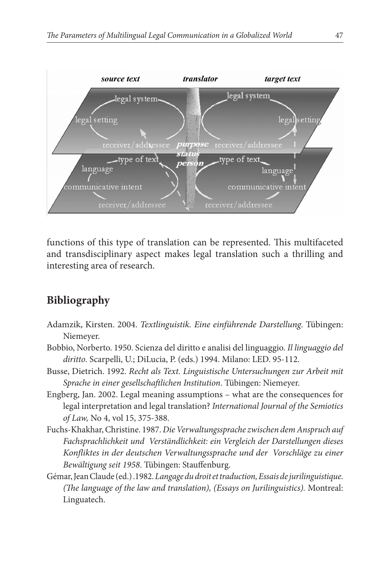

functions of this type of translation can be represented. This multifaceted and transdisciplinary aspect makes legal translation such a thrilling and interesting area of research.

# **Bibliography**

- Adamzik, Kirsten. 2004. *Textlinguistik. Eine einführende Darstellung*. Tübingen: Niemeyer.
- Bobbio, Norberto. 1950. Scienza del diritto e analisi del linguaggio. *Il linguaggio del diritto*. Scarpelli, U.; DiLucia, P. (eds.) 1994. Milano: LED. 95-112.
- Busse, Dietrich. 1992. *Recht als Text. Linguistische Untersuchungen zur Arbeit mit Sprache in einer gesellschaft lichen Institution*. Tübingen: Niemeyer.
- Engberg, Jan. 2002. Legal meaning assumptions what are the consequences for legal interpretation and legal translation? *International Journal of the Semiotics of Law,* No 4, vol 15, 375-388.
- Fuchs-Khakhar, Christine. 1987. *Die Verwaltungssprache zwischen dem Anspruch auf Fachsprachlichkeit und Verständlichkeit: ein Vergleich der Darstellungen dieses Konfl iktes in der deutschen Verwaltungssprache und der Vorschläge zu einer*  Bewältigung seit 1958. Tübingen: Stauffenburg.
- Gémar, Jean Claude (ed.) .1982. *Langage du droit et traduction, Essais de jurilinguistique*. *(The language of the law and translation), (Essays on Jurilinguistics).* Montreal: Linguatech.